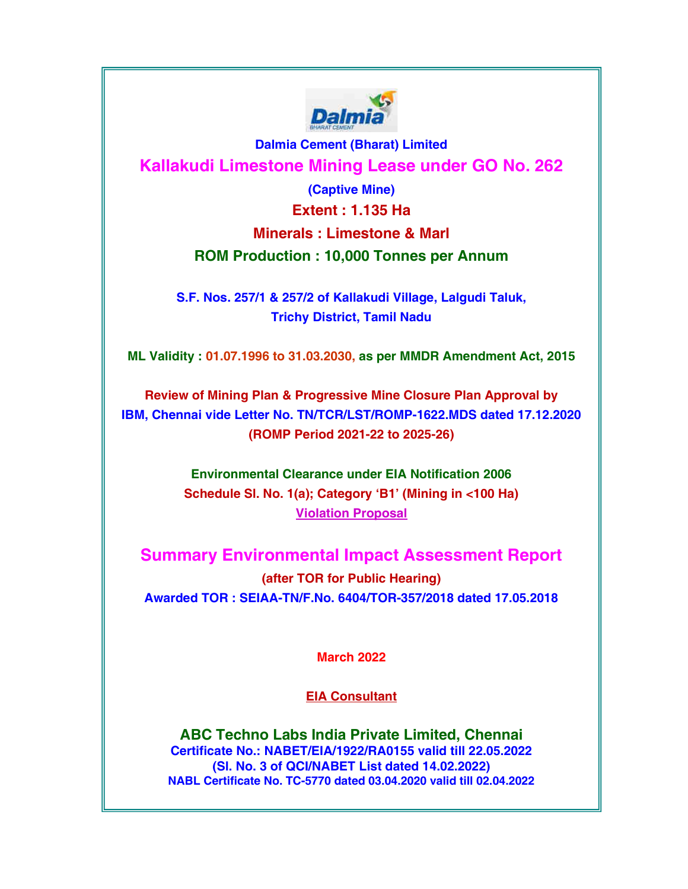

Dalmia Cement (Bharat) Limited Kallakudi Limestone Mining Lease under GO No. 262

> (Captive Mine) Extent : 1.135 Ha Minerals : Limestone & Marl ROM Production : 10,000 Tonnes per Annum

S.F. Nos. 257/1 & 257/2 of Kallakudi Village, Lalgudi Taluk, Trichy District, Tamil Nadu

ML Validity : 01.07.1996 to 31.03.2030, as per MMDR Amendment Act, 2015

Review of Mining Plan & Progressive Mine Closure Plan Approval by IBM, Chennai vide Letter No. TN/TCR/LST/ROMP-1622.MDS dated 17.12.2020 (ROMP Period 2021-22 to 2025-26)

> Environmental Clearance under EIA Notification 2006 Schedule Sl. No. 1(a); Category 'B1' (Mining in <100 Ha) Violation Proposal

Summary Environmental Impact Assessment Report (after TOR for Public Hearing) Awarded TOR : SEIAA-TN/F.No. 6404/TOR-357/2018 dated 17.05.2018

March 2022

EIA Consultant

ABC Techno Labs India Private Limited, Chennai Certificate No.: NABET/EIA/1922/RA0155 valid till 22.05.2022 (Sl. No. 3 of QCI/NABET List dated 14.02.2022) NABL Certificate No. TC-5770 dated 03.04.2020 valid till 02.04.2022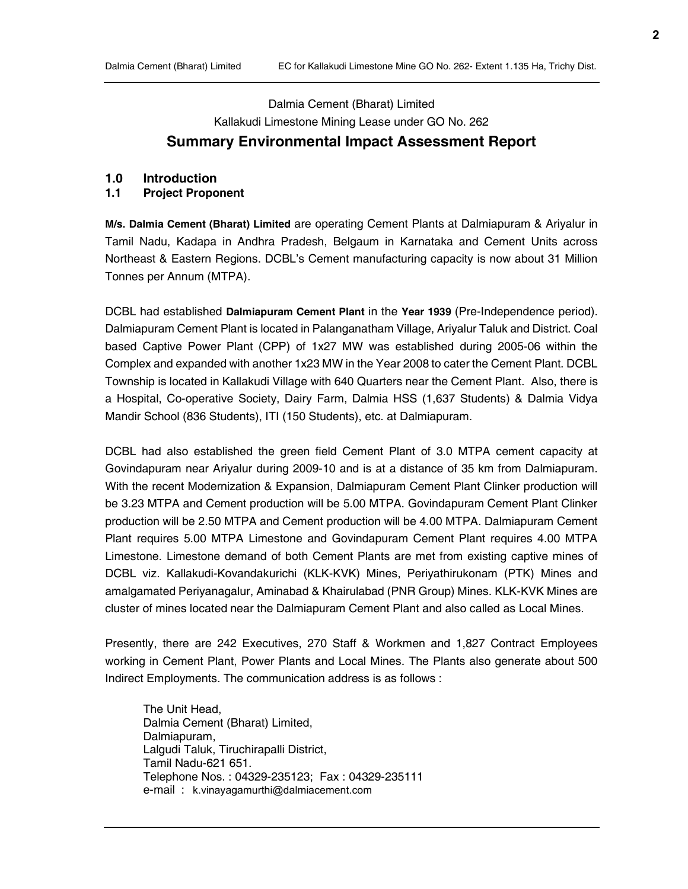# Dalmia Cement (Bharat) Limited Kallakudi Limestone Mining Lease under GO No. 262 Summary Environmental Impact Assessment Report

#### 1.0 Introduction

#### 1.1 Project Proponent

M/s. Dalmia Cement (Bharat) Limited are operating Cement Plants at Dalmiapuram & Ariyalur in Tamil Nadu, Kadapa in Andhra Pradesh, Belgaum in Karnataka and Cement Units across Northeast & Eastern Regions. DCBL's Cement manufacturing capacity is now about 31 Million Tonnes per Annum (MTPA).

DCBL had established Dalmiapuram Cement Plant in the Year 1939 (Pre-Independence period). Dalmiapuram Cement Plant is located in Palanganatham Village, Ariyalur Taluk and District. Coal based Captive Power Plant (CPP) of 1x27 MW was established during 2005-06 within the Complex and expanded with another 1x23 MW in the Year 2008 to cater the Cement Plant. DCBL Township is located in Kallakudi Village with 640 Quarters near the Cement Plant. Also, there is a Hospital, Co-operative Society, Dairy Farm, Dalmia HSS (1,637 Students) & Dalmia Vidya Mandir School (836 Students), ITI (150 Students), etc. at Dalmiapuram.

DCBL had also established the green field Cement Plant of 3.0 MTPA cement capacity at Govindapuram near Ariyalur during 2009-10 and is at a distance of 35 km from Dalmiapuram. With the recent Modernization & Expansion, Dalmiapuram Cement Plant Clinker production will be 3.23 MTPA and Cement production will be 5.00 MTPA. Govindapuram Cement Plant Clinker production will be 2.50 MTPA and Cement production will be 4.00 MTPA. Dalmiapuram Cement Plant requires 5.00 MTPA Limestone and Govindapuram Cement Plant requires 4.00 MTPA Limestone. Limestone demand of both Cement Plants are met from existing captive mines of DCBL viz. Kallakudi-Kovandakurichi (KLK-KVK) Mines, Periyathirukonam (PTK) Mines and amalgamated Periyanagalur, Aminabad & Khairulabad (PNR Group) Mines. KLK-KVK Mines are cluster of mines located near the Dalmiapuram Cement Plant and also called as Local Mines.

Presently, there are 242 Executives, 270 Staff & Workmen and 1,827 Contract Employees working in Cement Plant, Power Plants and Local Mines. The Plants also generate about 500 Indirect Employments. The communication address is as follows :

The Unit Head, Dalmia Cement (Bharat) Limited, Dalmiapuram, Lalgudi Taluk, Tiruchirapalli District, Tamil Nadu-621 651. Telephone Nos. : 04329-235123; Fax : 04329-235111 e-mail : k.vinayagamurthi@dalmiacement.com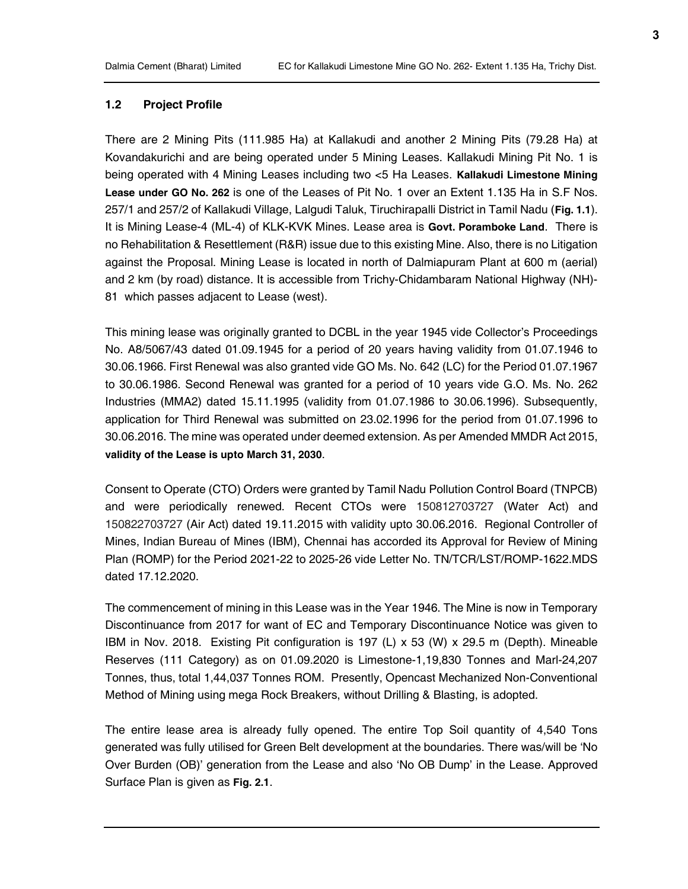#### 1.2 Project Profile

There are 2 Mining Pits (111.985 Ha) at Kallakudi and another 2 Mining Pits (79.28 Ha) at Kovandakurichi and are being operated under 5 Mining Leases. Kallakudi Mining Pit No. 1 is being operated with 4 Mining Leases including two <5 Ha Leases. Kallakudi Limestone Mining Lease under GO No. 262 is one of the Leases of Pit No. 1 over an Extent 1.135 Ha in S.F Nos. 257/1 and 257/2 of Kallakudi Village, Lalgudi Taluk, Tiruchirapalli District in Tamil Nadu (Fig. 1.1). It is Mining Lease-4 (ML-4) of KLK-KVK Mines. Lease area is Govt. Poramboke Land. There is no Rehabilitation & Resettlement (R&R) issue due to this existing Mine. Also, there is no Litigation against the Proposal. Mining Lease is located in north of Dalmiapuram Plant at 600 m (aerial) and 2 km (by road) distance. It is accessible from Trichy-Chidambaram National Highway (NH)- 81 which passes adjacent to Lease (west).

This mining lease was originally granted to DCBL in the year 1945 vide Collector's Proceedings No. A8/5067/43 dated 01.09.1945 for a period of 20 years having validity from 01.07.1946 to 30.06.1966. First Renewal was also granted vide GO Ms. No. 642 (LC) for the Period 01.07.1967 to 30.06.1986. Second Renewal was granted for a period of 10 years vide G.O. Ms. No. 262 Industries (MMA2) dated 15.11.1995 (validity from 01.07.1986 to 30.06.1996). Subsequently, application for Third Renewal was submitted on 23.02.1996 for the period from 01.07.1996 to 30.06.2016. The mine was operated under deemed extension. As per Amended MMDR Act 2015, validity of the Lease is upto March 31, 2030.

Consent to Operate (CTO) Orders were granted by Tamil Nadu Pollution Control Board (TNPCB) and were periodically renewed. Recent CTOs were 150812703727 (Water Act) and 150822703727 (Air Act) dated 19.11.2015 with validity upto 30.06.2016. Regional Controller of Mines, Indian Bureau of Mines (IBM), Chennai has accorded its Approval for Review of Mining Plan (ROMP) for the Period 2021-22 to 2025-26 vide Letter No. TN/TCR/LST/ROMP-1622.MDS dated 17.12.2020.

The commencement of mining in this Lease was in the Year 1946. The Mine is now in Temporary Discontinuance from 2017 for want of EC and Temporary Discontinuance Notice was given to IBM in Nov. 2018. Existing Pit configuration is 197 (L) x 53 (W) x 29.5 m (Depth). Mineable Reserves (111 Category) as on 01.09.2020 is Limestone-1,19,830 Tonnes and Marl-24,207 Tonnes, thus, total 1,44,037 Tonnes ROM. Presently, Opencast Mechanized Non-Conventional Method of Mining using mega Rock Breakers, without Drilling & Blasting, is adopted.

The entire lease area is already fully opened. The entire Top Soil quantity of 4,540 Tons generated was fully utilised for Green Belt development at the boundaries. There was/will be 'No Over Burden (OB)' generation from the Lease and also 'No OB Dump' in the Lease. Approved Surface Plan is given as Fig. 2.1.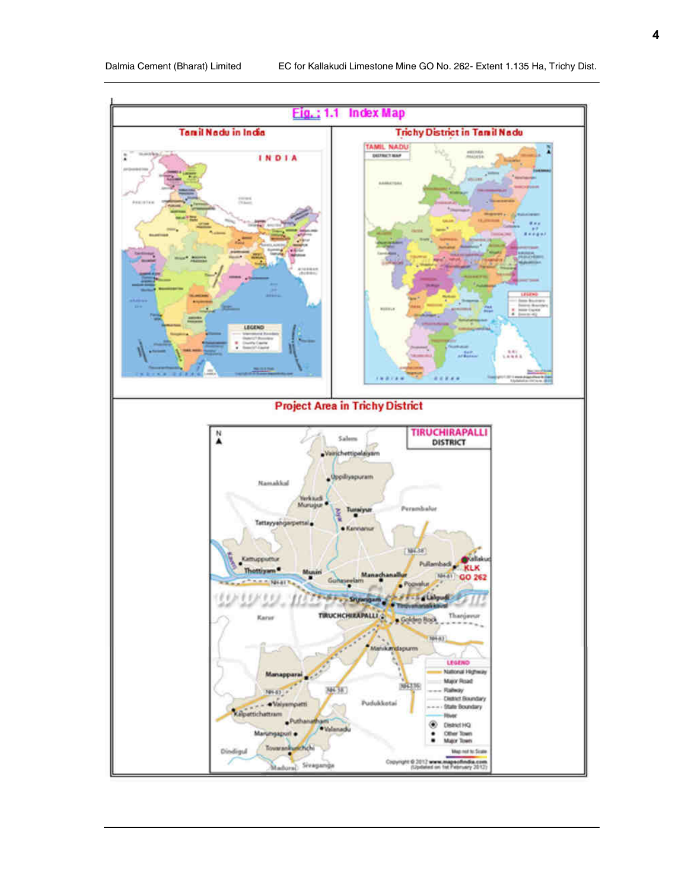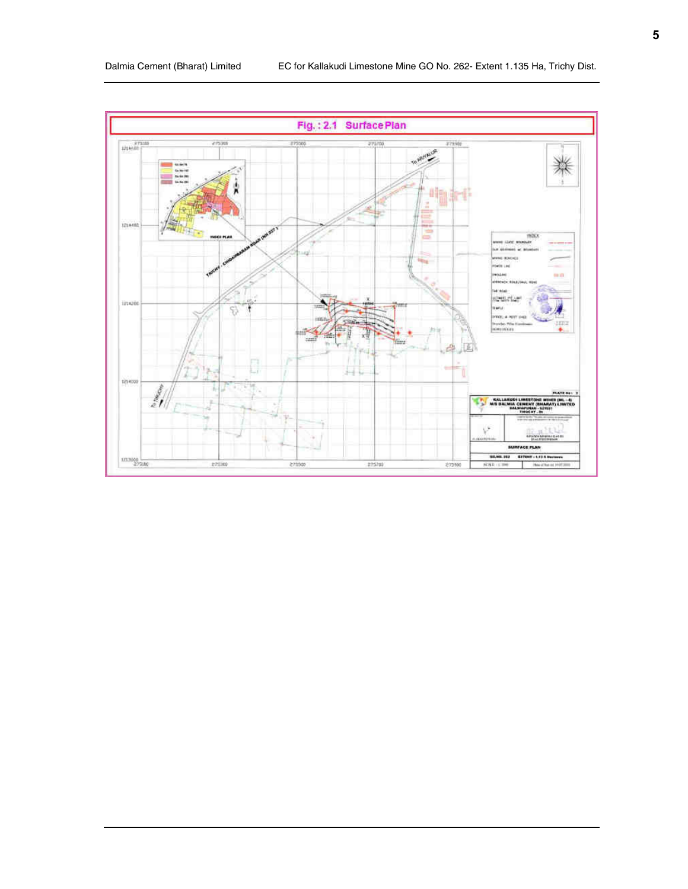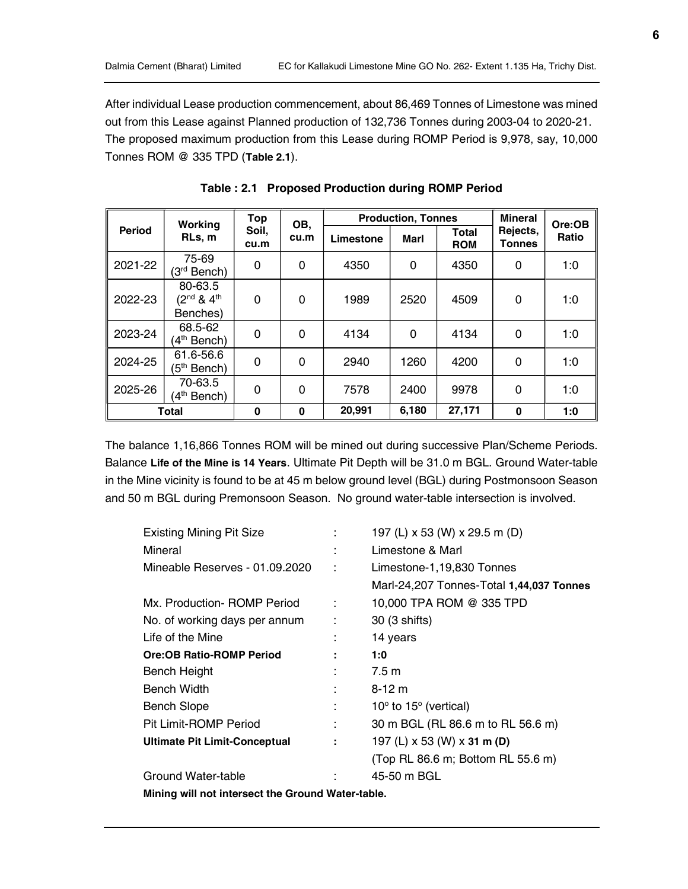After individual Lease production commencement, about 86,469 Tonnes of Limestone was mined out from this Lease against Planned production of 132,736 Tonnes during 2003-04 to 2020-21. The proposed maximum production from this Lease during ROMP Period is 9,978, say, 10,000 Tonnes ROM @ 335 TPD (Table 2.1).

|               | Working<br>RLs, m                         | Top           | OB,      | <b>Production, Tonnes</b> |          |                            | <b>Mineral</b>     | Ore:OB |
|---------------|-------------------------------------------|---------------|----------|---------------------------|----------|----------------------------|--------------------|--------|
| <b>Period</b> |                                           | Soil,<br>cu.m | cu.m     | Limestone                 | Marl     | <b>Total</b><br><b>ROM</b> | Rejects,<br>Tonnes | Ratio  |
| 2021-22       | 75-69<br>(3 <sup>rd</sup> Bench)          | 0             | $\Omega$ | 4350                      | $\Omega$ | 4350                       | $\Omega$           | 1:0    |
| 2022-23       | 80-63.5<br>$(2^{nd} 8 4^{th}$<br>Benches) | $\Omega$      | $\Omega$ | 1989                      | 2520     | 4509                       | $\Omega$           | 1:0    |
| 2023-24       | 68.5-62<br>4 <sup>th</sup> Bench)         | 0             | $\Omega$ | 4134                      | $\Omega$ | 4134                       | $\Omega$           | 1:0    |
| 2024-25       | 61.6-56.6<br>(5 <sup>th</sup> Bench)      | 0             | $\Omega$ | 2940                      | 1260     | 4200                       | $\Omega$           | 1:0    |
| 2025-26       | 70-63.5<br>4 <sup>th</sup> Bench)         | 0             | $\Omega$ | 7578                      | 2400     | 9978                       | 0                  | 1:0    |
| Total         |                                           | $\bf{0}$      | $\bf{0}$ | 20,991                    | 6.180    | 27,171                     | $\bf{0}$           | 1:0    |

Table : 2.1 Proposed Production during ROMP Period

The balance 1,16,866 Tonnes ROM will be mined out during successive Plan/Scheme Periods. Balance Life of the Mine is 14 Years. Ultimate Pit Depth will be 31.0 m BGL. Ground Water-table in the Mine vicinity is found to be at 45 m below ground level (BGL) during Postmonsoon Season and 50 m BGL during Premonsoon Season. No ground water-table intersection is involved.

| <b>Existing Mining Pit Size</b>                   |    | 197 (L) x 53 (W) x 29.5 m (D)             |
|---------------------------------------------------|----|-------------------------------------------|
| Mineral                                           |    | Limestone & Marl                          |
| Mineable Reserves - 01.09.2020                    | ÷  | Limestone-1,19,830 Tonnes                 |
|                                                   |    | Marl-24,207 Tonnes-Total 1,44,037 Tonnes  |
| Mx. Production- ROMP Period                       | ÷  | 10,000 TPA ROM @ 335 TPD                  |
| No. of working days per annum                     | ÷  | 30 (3 shifts)                             |
| Life of the Mine                                  |    | 14 years                                  |
| <b>Ore:OB Ratio-ROMP Period</b>                   |    | 1:0                                       |
| <b>Bench Height</b>                               | ÷  | 7.5 m                                     |
| <b>Bench Width</b>                                |    | $8 - 12$ m                                |
| <b>Bench Slope</b>                                | ÷  | $10^{\circ}$ to $15^{\circ}$ (vertical)   |
| Pit Limit-ROMP Period                             | ÷. | 30 m BGL (RL 86.6 m to RL 56.6 m)         |
| <b>Ultimate Pit Limit-Conceptual</b>              | ÷  | 197 (L) $\times$ 53 (W) $\times$ 31 m (D) |
|                                                   |    | (Top RL 86.6 m; Bottom RL 55.6 m)         |
| Ground Water-table                                | ÷  | 45-50 m BGL                               |
| Mining will not intersect the Ground Water-table. |    |                                           |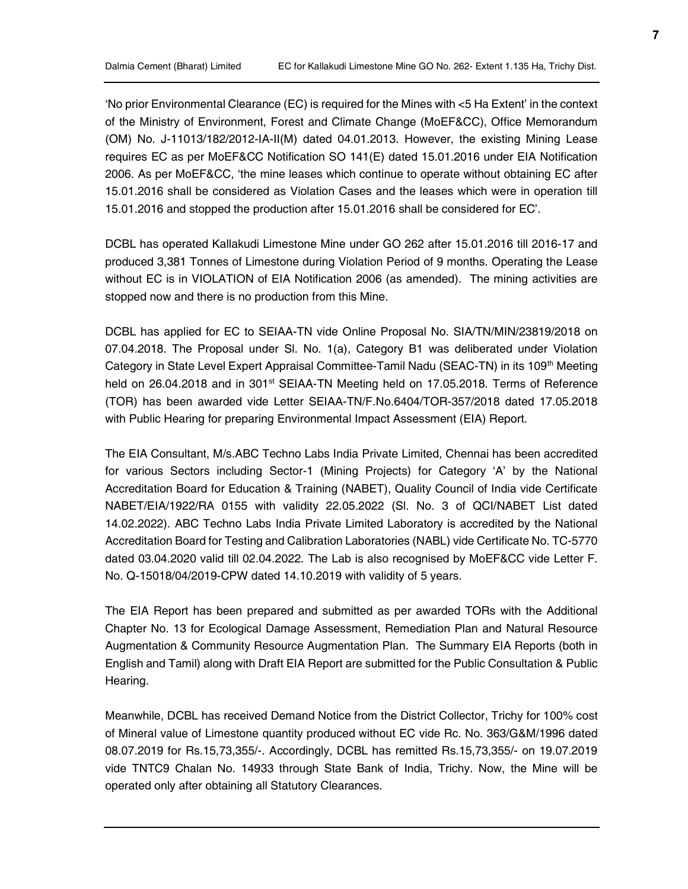'No prior Environmental Clearance (EC) is required for the Mines with <5 Ha Extent' in the context of the Ministry of Environment, Forest and Climate Change (MoEF&CC), Office Memorandum (OM) No. J-11013/182/2012-IA-II(M) dated 04.01.2013. However, the existing Mining Lease requires EC as per MoEF&CC Notification SO 141(E) dated 15.01.2016 under EIA Notification 2006. As per MoEF&CC, 'the mine leases which continue to operate without obtaining EC after 15.01.2016 shall be considered as Violation Cases and the leases which were in operation till 15.01.2016 and stopped the production after 15.01.2016 shall be considered for EC'.

DCBL has operated Kallakudi Limestone Mine under GO 262 after 15.01.2016 till 2016-17 and produced 3,381 Tonnes of Limestone during Violation Period of 9 months. Operating the Lease without EC is in VIOLATION of EIA Notification 2006 (as amended). The mining activities are stopped now and there is no production from this Mine.

DCBL has applied for EC to SEIAA-TN vide Online Proposal No. SIA/TN/MIN/23819/2018 on 07.04.2018. The Proposal under Sl. No. 1(a), Category B1 was deliberated under Violation Category in State Level Expert Appraisal Committee-Tamil Nadu (SEAC-TN) in its 109<sup>th</sup> Meeting held on 26.04.2018 and in 301<sup>st</sup> SEIAA-TN Meeting held on 17.05.2018. Terms of Reference (TOR) has been awarded vide Letter SEIAA-TN/F.No.6404/TOR-357/2018 dated 17.05.2018 with Public Hearing for preparing Environmental Impact Assessment (EIA) Report.

The EIA Consultant, M/s.ABC Techno Labs India Private Limited, Chennai has been accredited for various Sectors including Sector-1 (Mining Projects) for Category 'A' by the National Accreditation Board for Education & Training (NABET), Quality Council of India vide Certificate NABET/EIA/1922/RA 0155 with validity 22.05.2022 (Sl. No. 3 of QCI/NABET List dated 14.02.2022). ABC Techno Labs India Private Limited Laboratory is accredited by the National Accreditation Board for Testing and Calibration Laboratories (NABL) vide Certificate No. TC-5770 dated 03.04.2020 valid till 02.04.2022. The Lab is also recognised by MoEF&CC vide Letter F. No. Q-15018/04/2019-CPW dated 14.10.2019 with validity of 5 years.

The EIA Report has been prepared and submitted as per awarded TORs with the Additional Chapter No. 13 for Ecological Damage Assessment, Remediation Plan and Natural Resource Augmentation & Community Resource Augmentation Plan. The Summary EIA Reports (both in English and Tamil) along with Draft EIA Report are submitted for the Public Consultation & Public Hearing.

Meanwhile, DCBL has received Demand Notice from the District Collector, Trichy for 100% cost of Mineral value of Limestone quantity produced without EC vide Rc. No. 363/G&M/1996 dated 08.07.2019 for Rs.15,73,355/-. Accordingly, DCBL has remitted Rs.15,73,355/- on 19.07.2019 vide TNTC9 Chalan No. 14933 through State Bank of India, Trichy. Now, the Mine will be operated only after obtaining all Statutory Clearances.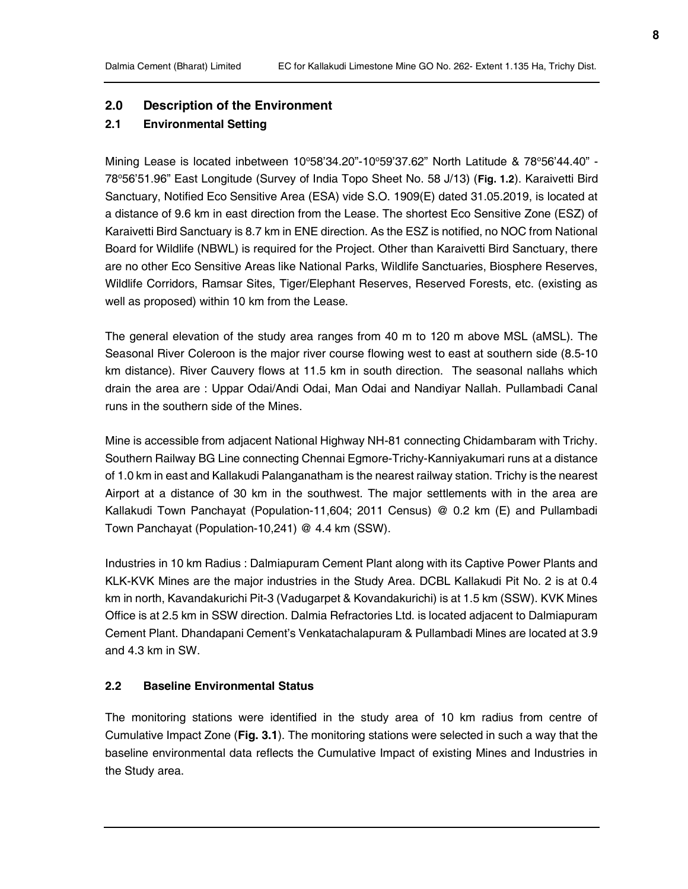## 2.0 Description of the Environment

# 2.1 Environmental Setting

Mining Lease is located inbetween  $10^{\circ}58'34.20"$ -10°59'37.62" North Latitude & 78°56'44.40" -78°56'51.96" East Longitude (Survey of India Topo Sheet No. 58 J/13) (Fig. 1.2). Karaivetti Bird Sanctuary, Notified Eco Sensitive Area (ESA) vide S.O. 1909(E) dated 31.05.2019, is located at a distance of 9.6 km in east direction from the Lease. The shortest Eco Sensitive Zone (ESZ) of Karaivetti Bird Sanctuary is 8.7 km in ENE direction. As the ESZ is notified, no NOC from National Board for Wildlife (NBWL) is required for the Project. Other than Karaivetti Bird Sanctuary, there are no other Eco Sensitive Areas like National Parks, Wildlife Sanctuaries, Biosphere Reserves, Wildlife Corridors, Ramsar Sites, Tiger/Elephant Reserves, Reserved Forests, etc. (existing as well as proposed) within 10 km from the Lease.

The general elevation of the study area ranges from 40 m to 120 m above MSL (aMSL). The Seasonal River Coleroon is the major river course flowing west to east at southern side (8.5-10 km distance). River Cauvery flows at 11.5 km in south direction. The seasonal nallahs which drain the area are : Uppar Odai/Andi Odai, Man Odai and Nandiyar Nallah. Pullambadi Canal runs in the southern side of the Mines.

Mine is accessible from adjacent National Highway NH-81 connecting Chidambaram with Trichy. Southern Railway BG Line connecting Chennai Egmore-Trichy-Kanniyakumari runs at a distance of 1.0 km in east and Kallakudi Palanganatham is the nearest railway station. Trichy is the nearest Airport at a distance of 30 km in the southwest. The major settlements with in the area are Kallakudi Town Panchayat (Population-11,604; 2011 Census) @ 0.2 km (E) and Pullambadi Town Panchayat (Population-10,241) @ 4.4 km (SSW).

Industries in 10 km Radius : Dalmiapuram Cement Plant along with its Captive Power Plants and KLK-KVK Mines are the major industries in the Study Area. DCBL Kallakudi Pit No. 2 is at 0.4 km in north, Kavandakurichi Pit-3 (Vadugarpet & Kovandakurichi) is at 1.5 km (SSW). KVK Mines Office is at 2.5 km in SSW direction. Dalmia Refractories Ltd. is located adjacent to Dalmiapuram Cement Plant. Dhandapani Cement's Venkatachalapuram & Pullambadi Mines are located at 3.9 and 4.3 km in SW.

## 2.2 Baseline Environmental Status

The monitoring stations were identified in the study area of 10 km radius from centre of Cumulative Impact Zone (Fig. 3.1). The monitoring stations were selected in such a way that the baseline environmental data reflects the Cumulative Impact of existing Mines and Industries in the Study area.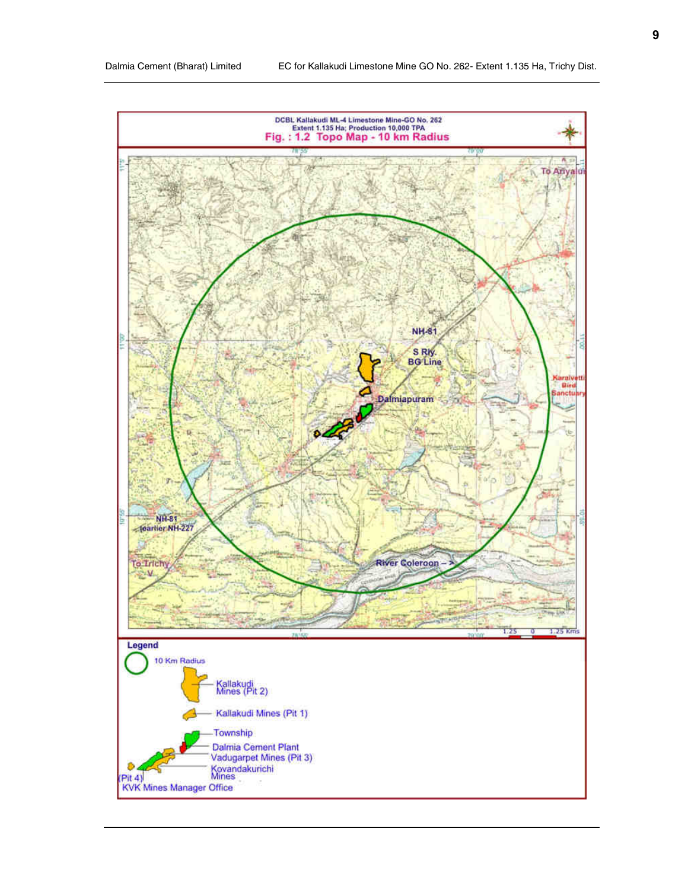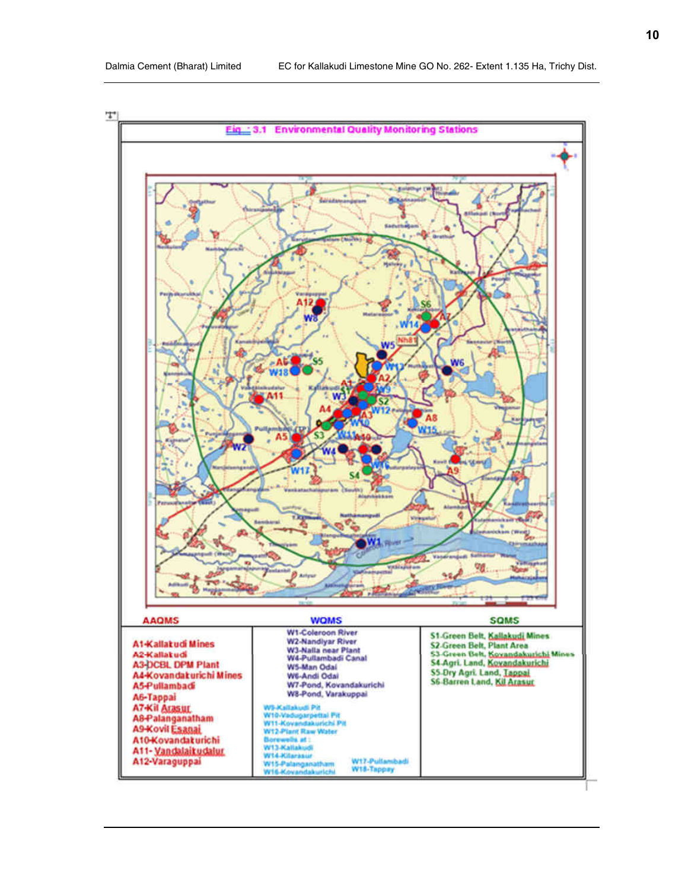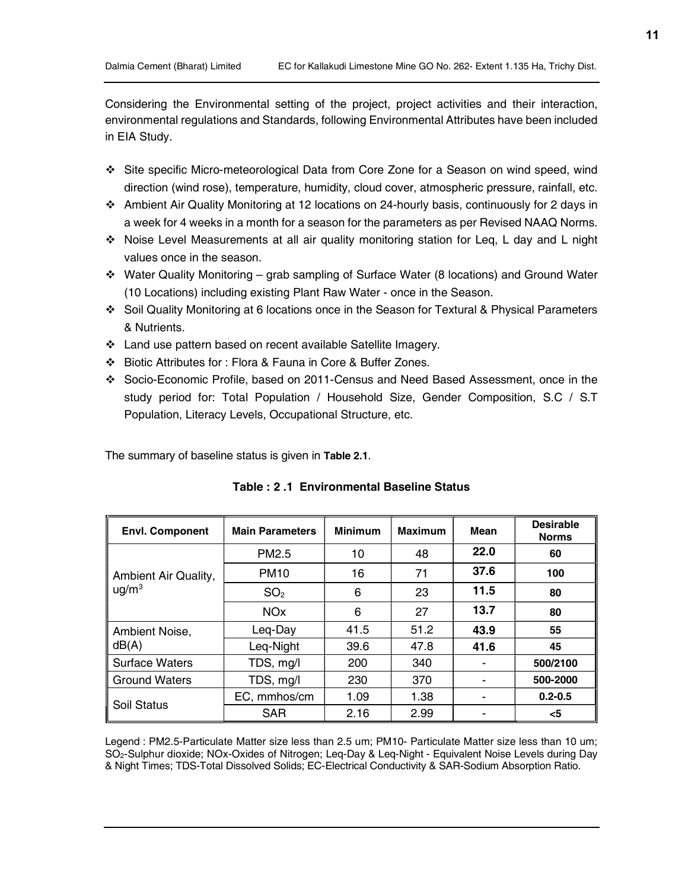Considering the Environmental setting of the project, project activities and their interaction, environmental regulations and Standards, following Environmental Attributes have been included in EIA Study.

- Site specific Micro-meteorological Data from Core Zone for a Season on wind speed, wind direction (wind rose), temperature, humidity, cloud cover, atmospheric pressure, rainfall, etc.
- Ambient Air Quality Monitoring at 12 locations on 24-hourly basis, continuously for 2 days in a week for 4 weeks in a month for a season for the parameters as per Revised NAAQ Norms.
- Noise Level Measurements at all air quality monitoring station for Leq, L day and L night values once in the season.
- $\div$  Water Quality Monitoring grab sampling of Surface Water (8 locations) and Ground Water (10 Locations) including existing Plant Raw Water - once in the Season.
- Soil Quality Monitoring at 6 locations once in the Season for Textural & Physical Parameters & Nutrients.
- Land use pattern based on recent available Satellite Imagery.
- Biotic Attributes for : Flora & Fauna in Core & Buffer Zones.
- Socio-Economic Profile, based on 2011-Census and Need Based Assessment, once in the study period for: Total Population / Household Size, Gender Composition, S.C / S.T Population, Literacy Levels, Occupational Structure, etc.

The summary of baseline status is given in Table 2.1.

| <b>Envl. Component</b> | <b>Main Parameters</b> | <b>Minimum</b> | <b>Maximum</b> | Mean | <b>Desirable</b><br><b>Norms</b> |
|------------------------|------------------------|----------------|----------------|------|----------------------------------|
|                        | PM <sub>2.5</sub>      | 10             | 48             | 22.0 | 60                               |
| Ambient Air Quality,   | <b>PM10</b>            | 16             | 71             | 37.6 | 100                              |
| $\mu$ g/m <sup>3</sup> | SO <sub>2</sub>        | 6              | 23             | 11.5 | 80                               |
|                        | <b>NOx</b>             | 6              | 27             | 13.7 | 80                               |
| Ambient Noise,         | Leg-Day                | 41.5           | 51.2           | 43.9 | 55                               |
| dB(A)                  | Leq-Night              | 39.6           | 47.8           | 41.6 | 45                               |
| <b>Surface Waters</b>  | TDS, mg/l              | 200            | 340            |      | 500/2100                         |
| <b>Ground Waters</b>   | TDS, mg/l              | 230            | 370            |      | 500-2000                         |
| Soil Status            | EC, mmhos/cm           | 1.09           | 1.38           |      | $0.2 - 0.5$                      |
|                        | <b>SAR</b>             | 2.16           | 2.99           |      | $<$ 5                            |

| Table : 2 .1 Environmental Baseline Status |  |
|--------------------------------------------|--|
|--------------------------------------------|--|

Legend : PM2.5-Particulate Matter size less than 2.5 um; PM10- Particulate Matter size less than 10 um; SO2-Sulphur dioxide; NOx-Oxides of Nitrogen; Leq-Day & Leq-Night - Equivalent Noise Levels during Day & Night Times; TDS-Total Dissolved Solids; EC-Electrical Conductivity & SAR-Sodium Absorption Ratio.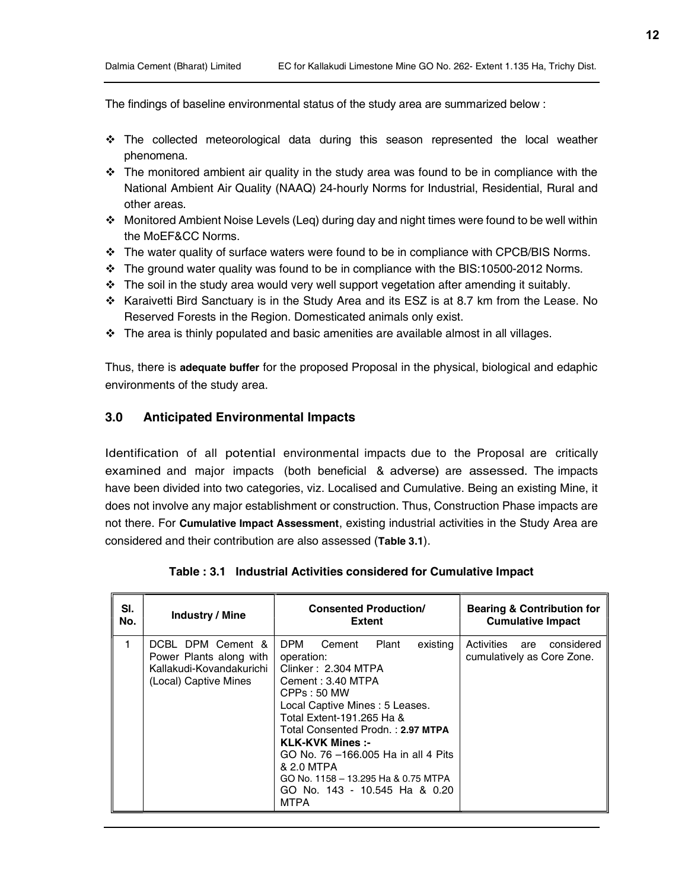The findings of baseline environmental status of the study area are summarized below :

- The collected meteorological data during this season represented the local weather phenomena.
- $\cdot \cdot$  The monitored ambient air quality in the study area was found to be in compliance with the National Ambient Air Quality (NAAQ) 24-hourly Norms for Industrial, Residential, Rural and other areas.
- $\div$  Monitored Ambient Noise Levels (Leq) during day and night times were found to be well within the MoEF&CC Norms.
- The water quality of surface waters were found to be in compliance with CPCB/BIS Norms.
- $\cdot \cdot$  The ground water quality was found to be in compliance with the BIS:10500-2012 Norms.
- $\cdot \cdot$  The soil in the study area would very well support vegetation after amending it suitably.
- \* Karaivetti Bird Sanctuary is in the Study Area and its ESZ is at 8.7 km from the Lease. No Reserved Forests in the Region. Domesticated animals only exist.
- $\div$  The area is thinly populated and basic amenities are available almost in all villages.

Thus, there is adequate buffer for the proposed Proposal in the physical, biological and edaphic environments of the study area.

## 3.0 Anticipated Environmental Impacts

Identification of all potential environmental impacts due to the Proposal are critically examined and major impacts (both beneficial & adverse) are assessed. The impacts have been divided into two categories, viz. Localised and Cumulative. Being an existing Mine, it does not involve any major establishment or construction. Thus, Construction Phase impacts are not there. For Cumulative Impact Assessment, existing industrial activities in the Study Area are considered and their contribution are also assessed (Table 3.1).

| SI. | <b>Industry / Mine</b>                                                                            | <b>Consented Production/</b>                                                                                                                                                                                                                                                                                                                                                           | <b>Bearing &amp; Contribution for</b>                      |
|-----|---------------------------------------------------------------------------------------------------|----------------------------------------------------------------------------------------------------------------------------------------------------------------------------------------------------------------------------------------------------------------------------------------------------------------------------------------------------------------------------------------|------------------------------------------------------------|
| No. |                                                                                                   | <b>Extent</b>                                                                                                                                                                                                                                                                                                                                                                          | <b>Cumulative Impact</b>                                   |
|     | DCBL DPM Cement &<br>Power Plants along with<br>Kallakudi-Kovandakurichi<br>(Local) Captive Mines | DPM<br>Plant<br>Cement<br>existing<br>operation:<br>Clinker: 2.304 MTPA<br>Cement: 3.40 MTPA<br>CPPs: 50 MW<br>Local Captive Mines: 5 Leases.<br>Total Extent-191.265 Ha &<br>Total Consented Prodn.: 2.97 MTPA<br><b>KLK-KVK Mines :-</b><br>GO No. 76 -166,005 Ha in all 4 Pits<br>& 2.0 MTPA<br>GO No. 1158 - 13.295 Ha & 0.75 MTPA<br>GO No. 143 - 10.545 Ha & 0.20<br><b>MTPA</b> | considered<br>Activities are<br>cumulatively as Core Zone. |

|  | Table: 3.1 Industrial Activities considered for Cumulative Impact |  |  |
|--|-------------------------------------------------------------------|--|--|
|--|-------------------------------------------------------------------|--|--|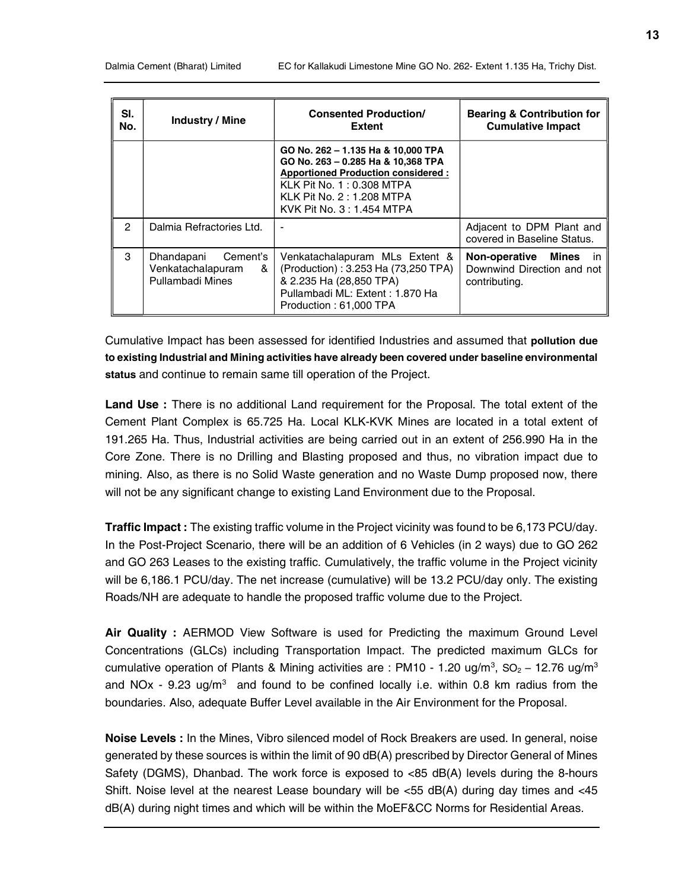| SI.<br>No.    | Industry / Mine                                                             | <b>Consented Production/</b><br><b>Extent</b>                                                                                                                                                                       | <b>Bearing &amp; Contribution for</b><br><b>Cumulative Impact</b>         |
|---------------|-----------------------------------------------------------------------------|---------------------------------------------------------------------------------------------------------------------------------------------------------------------------------------------------------------------|---------------------------------------------------------------------------|
|               |                                                                             | GO No. 262 - 1.135 Ha & 10,000 TPA<br>GO No. 263 - 0.285 Ha & 10,368 TPA<br><b>Apportioned Production considered:</b><br><b>KLK Pit No. 1: 0.308 MTPA</b><br>KLK Pit No. 2: 1.208 MTPA<br>KVK Pit No. 3: 1.454 MTPA |                                                                           |
| $\mathcal{P}$ | Dalmia Refractories Ltd.                                                    |                                                                                                                                                                                                                     | Adjacent to DPM Plant and<br>covered in Baseline Status.                  |
| 3             | Dhandapani<br>Cement's<br>Venkatachalapuram<br>&<br><b>Pullambadi Mines</b> | Venkatachalapuram MLs Extent &<br>(Production): 3.253 Ha (73,250 TPA)<br>& 2.235 Ha (28,850 TPA)<br>Pullambadi ML: Extent: 1.870 Ha<br>Production: 61,000 TPA                                                       | Non-operative Mines<br>in.<br>Downwind Direction and not<br>contributing. |

Cumulative Impact has been assessed for identified Industries and assumed that pollution due to existing Industrial and Mining activities have already been covered under baseline environmental status and continue to remain same till operation of the Project.

Land Use : There is no additional Land requirement for the Proposal. The total extent of the Cement Plant Complex is 65.725 Ha. Local KLK-KVK Mines are located in a total extent of 191.265 Ha. Thus, Industrial activities are being carried out in an extent of 256.990 Ha in the Core Zone. There is no Drilling and Blasting proposed and thus, no vibration impact due to mining. Also, as there is no Solid Waste generation and no Waste Dump proposed now, there will not be any significant change to existing Land Environment due to the Proposal.

Traffic Impact : The existing traffic volume in the Project vicinity was found to be 6,173 PCU/day. In the Post-Project Scenario, there will be an addition of 6 Vehicles (in 2 ways) due to GO 262 and GO 263 Leases to the existing traffic. Cumulatively, the traffic volume in the Project vicinity will be 6,186.1 PCU/day. The net increase (cumulative) will be 13.2 PCU/day only. The existing Roads/NH are adequate to handle the proposed traffic volume due to the Project.

Air Quality : AERMOD View Software is used for Predicting the maximum Ground Level Concentrations (GLCs) including Transportation Impact. The predicted maximum GLCs for cumulative operation of Plants & Mining activities are : PM10 - 1.20 ug/m<sup>3</sup>, SO<sub>2</sub> – 12.76 ug/m<sup>3</sup> and NOx -  $9.23 \text{ ug/m}^3$  and found to be confined locally i.e. within 0.8 km radius from the boundaries. Also, adequate Buffer Level available in the Air Environment for the Proposal.

Noise Levels : In the Mines, Vibro silenced model of Rock Breakers are used. In general, noise generated by these sources is within the limit of 90 dB(A) prescribed by Director General of Mines Safety (DGMS), Dhanbad. The work force is exposed to <85 dB(A) levels during the 8-hours Shift. Noise level at the nearest Lease boundary will be  $<$ 55 dB(A) during day times and  $<$ 45 dB(A) during night times and which will be within the MoEF&CC Norms for Residential Areas.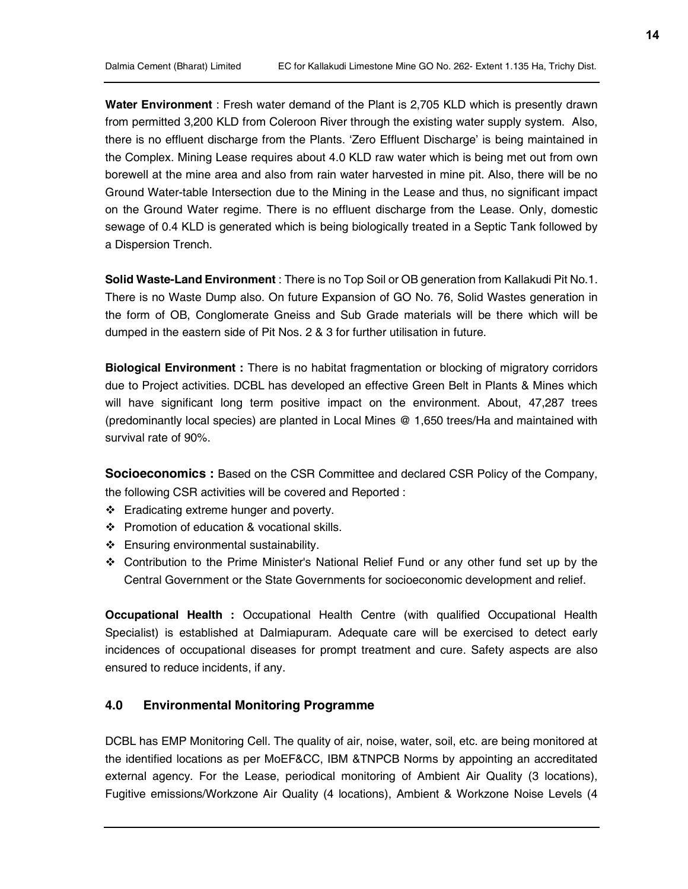Water Environment : Fresh water demand of the Plant is 2,705 KLD which is presently drawn from permitted 3,200 KLD from Coleroon River through the existing water supply system. Also, there is no effluent discharge from the Plants. 'Zero Effluent Discharge' is being maintained in the Complex. Mining Lease requires about 4.0 KLD raw water which is being met out from own borewell at the mine area and also from rain water harvested in mine pit. Also, there will be no Ground Water-table Intersection due to the Mining in the Lease and thus, no significant impact on the Ground Water regime. There is no effluent discharge from the Lease. Only, domestic sewage of 0.4 KLD is generated which is being biologically treated in a Septic Tank followed by a Dispersion Trench.

Solid Waste-Land Environment : There is no Top Soil or OB generation from Kallakudi Pit No.1. There is no Waste Dump also. On future Expansion of GO No. 76, Solid Wastes generation in the form of OB, Conglomerate Gneiss and Sub Grade materials will be there which will be dumped in the eastern side of Pit Nos. 2 & 3 for further utilisation in future.

**Biological Environment** : There is no habitat fragmentation or blocking of migratory corridors due to Project activities. DCBL has developed an effective Green Belt in Plants & Mines which will have significant long term positive impact on the environment. About, 47,287 trees (predominantly local species) are planted in Local Mines @ 1,650 trees/Ha and maintained with survival rate of 90%.

Socioeconomics : Based on the CSR Committee and declared CSR Policy of the Company, the following CSR activities will be covered and Reported :

- ❖ Eradicating extreme hunger and poverty.
- ❖ Promotion of education & vocational skills.
- Ensuring environmental sustainability.
- Contribution to the Prime Minister's National Relief Fund or any other fund set up by the Central Government or the State Governments for socioeconomic development and relief.

Occupational Health : Occupational Health Centre (with qualified Occupational Health Specialist) is established at Dalmiapuram. Adequate care will be exercised to detect early incidences of occupational diseases for prompt treatment and cure. Safety aspects are also ensured to reduce incidents, if any.

# 4.0 Environmental Monitoring Programme

DCBL has EMP Monitoring Cell. The quality of air, noise, water, soil, etc. are being monitored at the identified locations as per MoEF&CC, IBM &TNPCB Norms by appointing an accreditated external agency. For the Lease, periodical monitoring of Ambient Air Quality (3 locations), Fugitive emissions/Workzone Air Quality (4 locations), Ambient & Workzone Noise Levels (4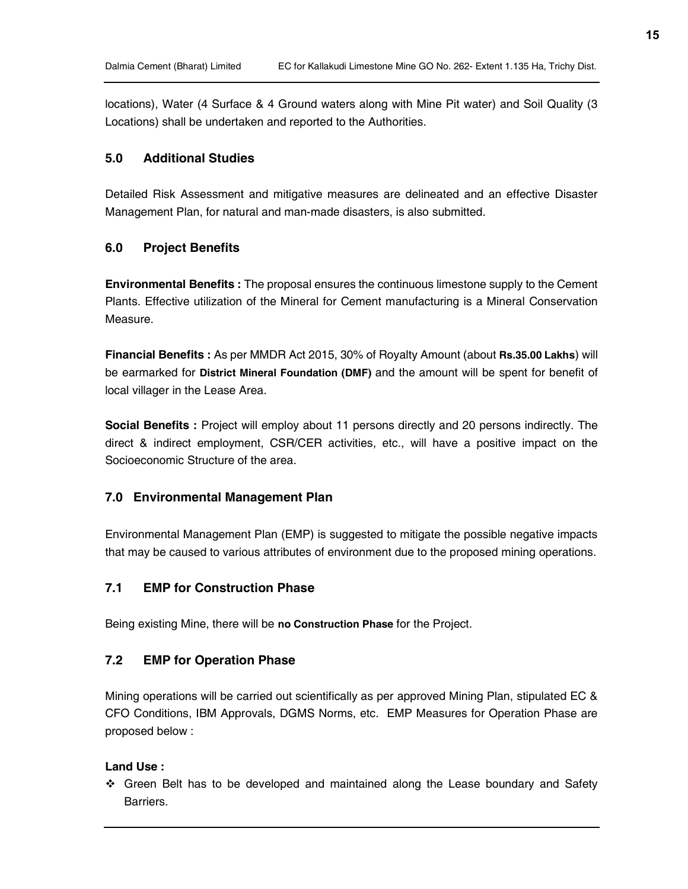locations), Water (4 Surface & 4 Ground waters along with Mine Pit water) and Soil Quality (3 Locations) shall be undertaken and reported to the Authorities.

## 5.0 Additional Studies

Detailed Risk Assessment and mitigative measures are delineated and an effective Disaster Management Plan, for natural and man-made disasters, is also submitted.

# 6.0 Project Benefits

Environmental Benefits : The proposal ensures the continuous limestone supply to the Cement Plants. Effective utilization of the Mineral for Cement manufacturing is a Mineral Conservation Measure.

Financial Benefits : As per MMDR Act 2015, 30% of Royalty Amount (about Rs.35.00 Lakhs) will be earmarked for District Mineral Foundation (DMF) and the amount will be spent for benefit of local villager in the Lease Area.

Social Benefits : Project will employ about 11 persons directly and 20 persons indirectly. The direct & indirect employment, CSR/CER activities, etc., will have a positive impact on the Socioeconomic Structure of the area.

#### 7.0 Environmental Management Plan

Environmental Management Plan (EMP) is suggested to mitigate the possible negative impacts that may be caused to various attributes of environment due to the proposed mining operations.

# 7.1 EMP for Construction Phase

Being existing Mine, there will be no Construction Phase for the Project.

## 7.2 EMP for Operation Phase

Mining operations will be carried out scientifically as per approved Mining Plan, stipulated EC & CFO Conditions, IBM Approvals, DGMS Norms, etc. EMP Measures for Operation Phase are proposed below :

## Land Use :

 Green Belt has to be developed and maintained along the Lease boundary and Safety Barriers.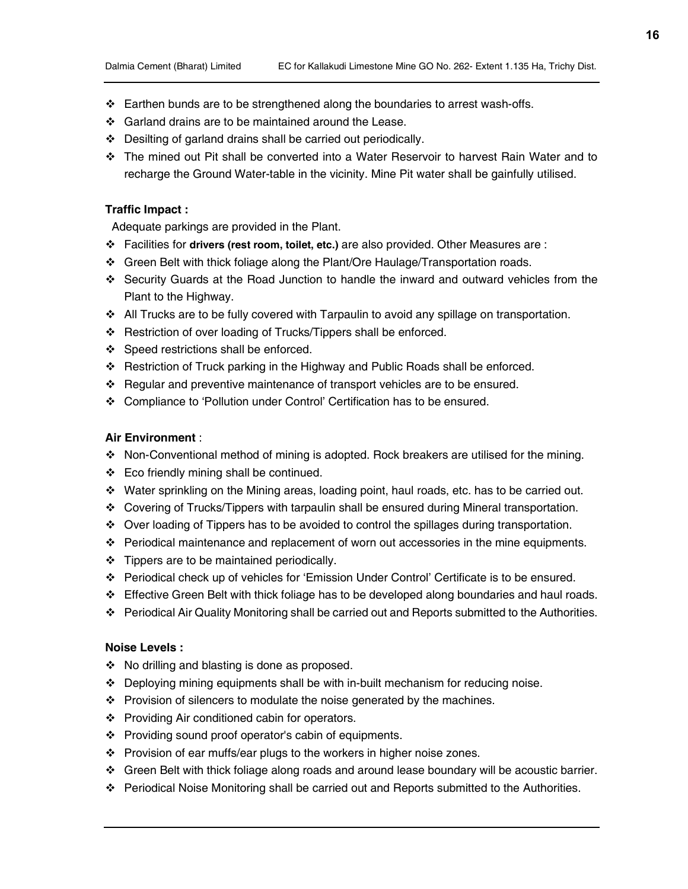- Earthen bunds are to be strengthened along the boundaries to arrest wash-offs.
- ❖ Garland drains are to be maintained around the Lease.
- $\div$  Desilting of garland drains shall be carried out periodically.
- The mined out Pit shall be converted into a Water Reservoir to harvest Rain Water and to recharge the Ground Water-table in the vicinity. Mine Pit water shall be gainfully utilised.

#### Traffic Impact :

Adequate parkings are provided in the Plant.

- $\div$  Facilities for drivers (rest room, toilet, etc.) are also provided. Other Measures are :
- Green Belt with thick foliage along the Plant/Ore Haulage/Transportation roads.
- Security Guards at the Road Junction to handle the inward and outward vehicles from the Plant to the Highway.
- All Trucks are to be fully covered with Tarpaulin to avoid any spillage on transportation.
- Restriction of over loading of Trucks/Tippers shall be enforced.
- ❖ Speed restrictions shall be enforced.
- Restriction of Truck parking in the Highway and Public Roads shall be enforced.
- Regular and preventive maintenance of transport vehicles are to be ensured.
- Compliance to 'Pollution under Control' Certification has to be ensured.

#### Air Environment :

- Non-Conventional method of mining is adopted. Rock breakers are utilised for the mining.
- Eco friendly mining shall be continued.
- Water sprinkling on the Mining areas, loading point, haul roads, etc. has to be carried out.
- Covering of Trucks/Tippers with tarpaulin shall be ensured during Mineral transportation.
- Over loading of Tippers has to be avoided to control the spillages during transportation.
- $\div$  Periodical maintenance and replacement of worn out accessories in the mine equipments.
- $\div$  Tippers are to be maintained periodically.
- Periodical check up of vehicles for 'Emission Under Control' Certificate is to be ensured.
- $\div$  Effective Green Belt with thick foliage has to be developed along boundaries and haul roads.
- Periodical Air Quality Monitoring shall be carried out and Reports submitted to the Authorities.

# Noise Levels :

- No drilling and blasting is done as proposed.
- $\div$  Deploying mining equipments shall be with in-built mechanism for reducing noise.
- $\div$  Provision of silencers to modulate the noise generated by the machines.
- ❖ Providing Air conditioned cabin for operators.
- Providing sound proof operator's cabin of equipments.
- Provision of ear muffs/ear plugs to the workers in higher noise zones.
- Green Belt with thick foliage along roads and around lease boundary will be acoustic barrier.
- Periodical Noise Monitoring shall be carried out and Reports submitted to the Authorities.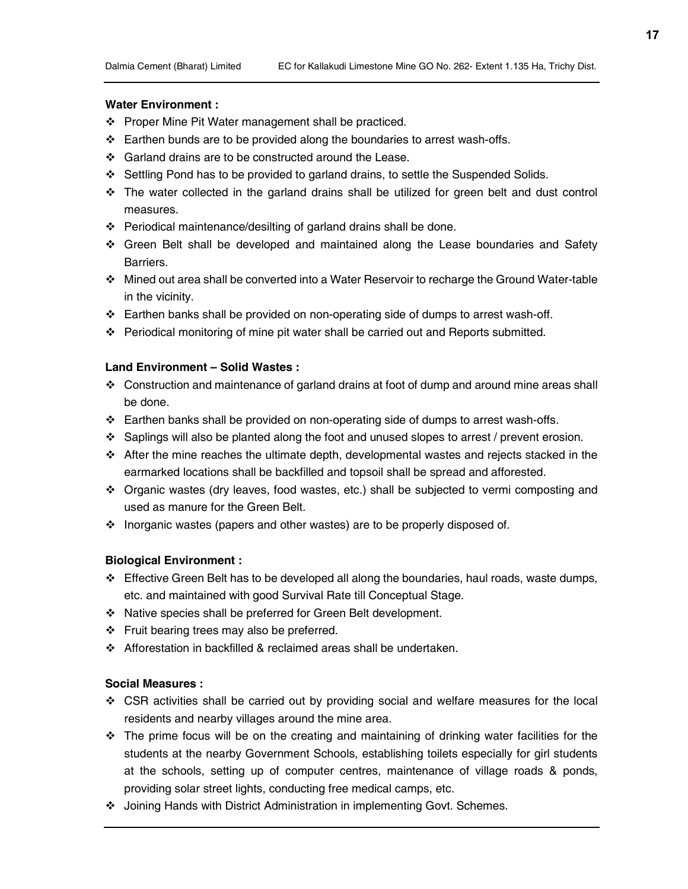#### Water Environment :

- ❖ Proper Mine Pit Water management shall be practiced.
- $\div$  Earthen bunds are to be provided along the boundaries to arrest wash-offs.
- ❖ Garland drains are to be constructed around the Lease.
- Settling Pond has to be provided to garland drains, to settle the Suspended Solids.
- $\cdot \cdot$  The water collected in the garland drains shall be utilized for green belt and dust control measures.
- Periodical maintenance/desilting of garland drains shall be done.
- Green Belt shall be developed and maintained along the Lease boundaries and Safety Barriers.
- Mined out area shall be converted into a Water Reservoir to recharge the Ground Water-table in the vicinity.
- $\div$  Earthen banks shall be provided on non-operating side of dumps to arrest wash-off.
- $\div$  Periodical monitoring of mine pit water shall be carried out and Reports submitted.

#### Land Environment – Solid Wastes :

- $\div$  Construction and maintenance of garland drains at foot of dump and around mine areas shall be done.
- Earthen banks shall be provided on non-operating side of dumps to arrest wash-offs.
- $\div$  Saplings will also be planted along the foot and unused slopes to arrest / prevent erosion.
- $\div$  After the mine reaches the ultimate depth, developmental wastes and rejects stacked in the earmarked locations shall be backfilled and topsoil shall be spread and afforested.
- Organic wastes (dry leaves, food wastes, etc.) shall be subjected to vermi composting and used as manure for the Green Belt.
- Inorganic wastes (papers and other wastes) are to be properly disposed of.

## Biological Environment :

- $\div$  Effective Green Belt has to be developed all along the boundaries, haul roads, waste dumps, etc. and maintained with good Survival Rate till Conceptual Stage.
- Native species shall be preferred for Green Belt development.
- $\div$  Fruit bearing trees may also be preferred.
- Afforestation in backfilled & reclaimed areas shall be undertaken.

## Social Measures :

- CSR activities shall be carried out by providing social and welfare measures for the local residents and nearby villages around the mine area.
- $\cdot \cdot$  The prime focus will be on the creating and maintaining of drinking water facilities for the students at the nearby Government Schools, establishing toilets especially for girl students at the schools, setting up of computer centres, maintenance of village roads & ponds, providing solar street lights, conducting free medical camps, etc.
- Joining Hands with District Administration in implementing Govt. Schemes.